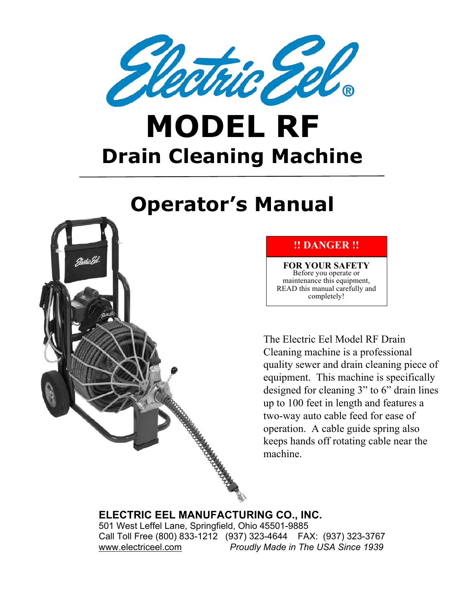

# **MODEL RF Drain Cleaning Machine**

## **Operator's Manual**



#### **!! DANGER !!**

**FOR YOUR SAFETY**  Before you operate or maintenance this equipment, READ this manual carefully and completely!

The Electric Eel Model RF Drain Cleaning machine is a professional quality sewer and drain cleaning piece of equipment. This machine is specifically designed for cleaning 3" to 6" drain lines up to 100 feet in length and features a two-way auto cable feed for ease of operation. A cable guide spring also keeps hands off rotating cable near the machine.

#### **ELECTRIC EEL MANUFACTURING CO., INC.** 501 West Leffel Lane, Springfield, Ohio 45501-9885 Call Toll Free (800) 833-1212 (937) 323-4644 FAX: (937) 323-3767

www.electriceel.com *Proudly Made in The USA Since 1939*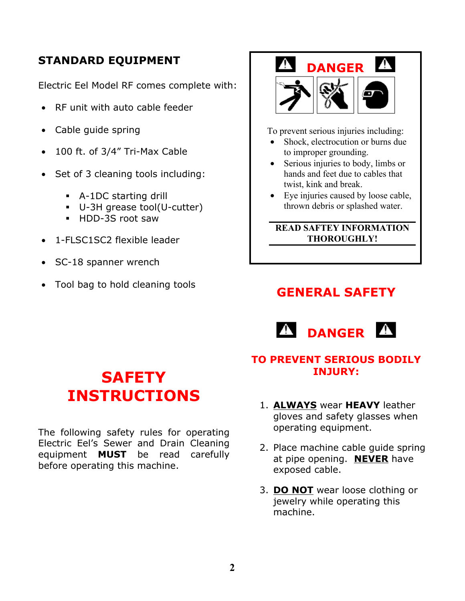#### **STANDARD EQUIPMENT**

Electric Eel Model RF comes complete with:

- RF unit with auto cable feeder
- Cable guide spring
- 100 ft. of 3/4" Tri-Max Cable
- Set of 3 cleaning tools including:
	- ! A-1DC starting drill
	- ! U-3H grease tool(U-cutter)
	- **HDD-3S root saw**
- 1-FLSC1SC2 flexible leader
- SC-18 spanner wrench
- Tool bag to hold cleaning tools



To prevent serious injuries including:

- Shock, electrocution or burns due to improper grounding.
- Serious injuries to body, limbs or hands and feet due to cables that twist, kink and break.
- Eye injuries caused by loose cable, thrown debris or splashed water.

#### **READ SAFTEY INFORMATION THOROUGHLY!**

## **GENERAL SAFETY**



#### **TO PREVENT SERIOUS BODILY INJURY:**

- 1. **ALWAYS** wear **HEAVY** leather gloves and safety glasses when operating equipment.
- 2. Place machine cable guide spring at pipe opening. **NEVER** have exposed cable.
- 3. **DO NOT** wear loose clothing or jewelry while operating this machine.

## **SAFETY INSTRUCTIONS**

The following safety rules for operating Electric Eel's Sewer and Drain Cleaning equipment **MUST** be read carefully before operating this machine.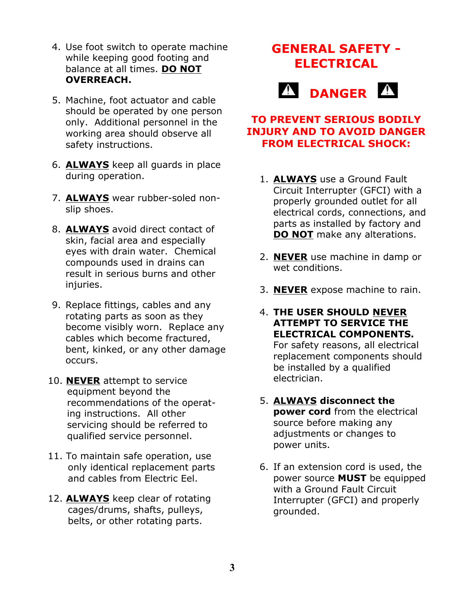- 4. Use foot switch to operate machine while keeping good footing and balance at all times. **DO NOT OVERREACH.**
- 5. Machine, foot actuator and cable should be operated by one person only. Additional personnel in the working area should observe all safety instructions.
- 6. **ALWAYS** keep all guards in place during operation.
- 7. **ALWAYS** wear rubber-soled nonslip shoes.
- 8. **ALWAYS** avoid direct contact of skin, facial area and especially eyes with drain water. Chemical compounds used in drains can result in serious burns and other injuries.
- 9. Replace fittings, cables and any rotating parts as soon as they become visibly worn. Replace any cables which become fractured, bent, kinked, or any other damage occurs.
- 10. **NEVER** attempt to service equipment beyond the recommendations of the operat ing instructions. All other servicing should be referred to qualified service personnel.
- 11. To maintain safe operation, use only identical replacement parts and cables from Electric Eel.
- 12. **ALWAYS** keep clear of rotating cages/drums, shafts, pulleys, belts, or other rotating parts.

## **GENERAL SAFETY - ELECTRICAL**



#### **TO PREVENT SERIOUS BODILY INJURY AND TO AVOID DANGER FROM ELECTRICAL SHOCK:**

- 1. **ALWAYS** use a Ground Fault Circuit Interrupter (GFCI) with a properly grounded outlet for all electrical cords, connections, and parts as installed by factory and **DO NOT** make any alterations.
- 2. **NEVER** use machine in damp or wet conditions.
- 3. **NEVER** expose machine to rain.
- 4. **THE USER SHOULD NEVER ATTEMPT TO SERVICE THE ELECTRICAL COMPONENTS.** For safety reasons, all electrical replacement components should be installed by a qualified electrician.
- 5. **ALWAYS disconnect the power cord** from the electrical source before making any adjustments or changes to power units.
- 6. If an extension cord is used, the power source **MUST** be equipped with a Ground Fault Circuit Interrupter (GFCI) and properly grounded.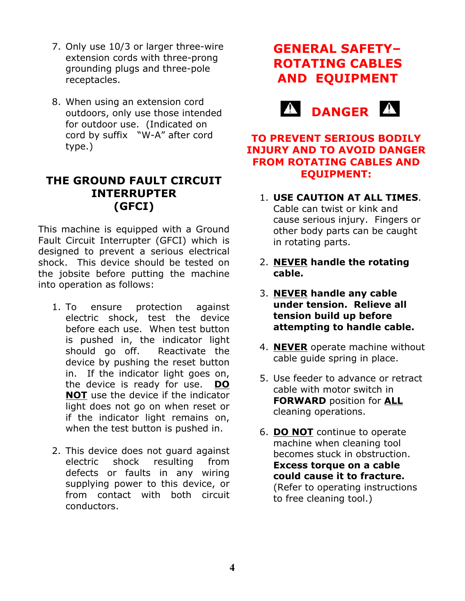- 7. Only use 10/3 or larger three-wire extension cords with three-prong grounding plugs and three-pole receptacles.
- 8. When using an extension cord outdoors, only use those intended for outdoor use. (Indicated on cord by suffix "W-A" after cord type.)

#### **THE GROUND FAULT CIRCUIT INTERRUPTER (GFCI)**

This machine is equipped with a Ground Fault Circuit Interrupter (GFCI) which is designed to prevent a serious electrical shock. This device should be tested on the jobsite before putting the machine into operation as follows:

- 1. To ensure protection against electric shock, test the device before each use. When test button is pushed in, the indicator light should go off. Reactivate the device by pushing the reset button in. If the indicator light goes on, the device is ready for use. **DO NOT** use the device if the indicator light does not go on when reset or if the indicator light remains on, when the test button is pushed in.
- 2. This device does not guard against electric shock resulting from defects or faults in any wiring supplying power to this device, or from contact with both circuit conductors.

## **GENERAL SAFETY– ROTATING CABLES AND EQUIPMENT**



#### **TO PREVENT SERIOUS BODILY INJURY AND TO AVOID DANGER FROM ROTATING CABLES AND EQUIPMENT:**

- 1. **USE CAUTION AT ALL TIMES**. Cable can twist or kink and cause serious injury. Fingers or other body parts can be caught in rotating parts.
- 2. **NEVER handle the rotating cable.**
- 3. **NEVER handle any cable under tension. Relieve all tension build up before attempting to handle cable.**
- 4. **NEVER** operate machine without cable guide spring in place.
- 5. Use feeder to advance or retract cable with motor switch in **FORWARD** position for **ALL** cleaning operations.
- 6. **DO NOT** continue to operate machine when cleaning tool becomes stuck in obstruction. **Excess torque on a cable could cause it to fracture.** (Refer to operating instructions to free cleaning tool.)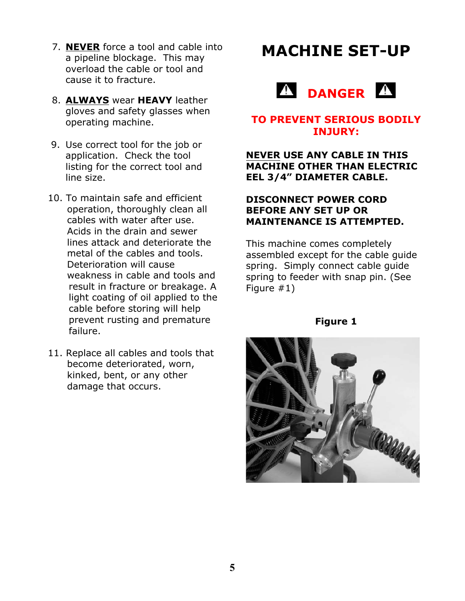- 7. **NEVER** force a tool and cable into a pipeline blockage. This may overload the cable or tool and cause it to fracture.
- 8. **ALWAYS** wear **HEAVY** leather gloves and safety glasses when operating machine.
- 9. Use correct tool for the job or application. Check the tool listing for the correct tool and line size.
- 10. To maintain safe and efficient operation, thoroughly clean all cables with water after use. Acids in the drain and sewer lines attack and deteriorate the metal of the cables and tools. Deterioration will cause weakness in cable and tools and result in fracture or breakage. A light coating of oil applied to the cable before storing will help prevent rusting and premature failure.
- 11. Replace all cables and tools that become deteriorated, worn, kinked, bent, or any other damage that occurs.

## **MACHINE SET-UP**



#### **TO PREVENT SERIOUS BODILY INJURY:**

#### **NEVER USE ANY CABLE IN THIS MACHINE OTHER THAN ELECTRIC EEL 3/4" DIAMETER CABLE.**

#### **DISCONNECT POWER CORD BEFORE ANY SET UP OR MAINTENANCE IS ATTEMPTED.**

This machine comes completely assembled except for the cable guide spring. Simply connect cable guide spring to feeder with snap pin. (See Figure #1)

**Figure 1**

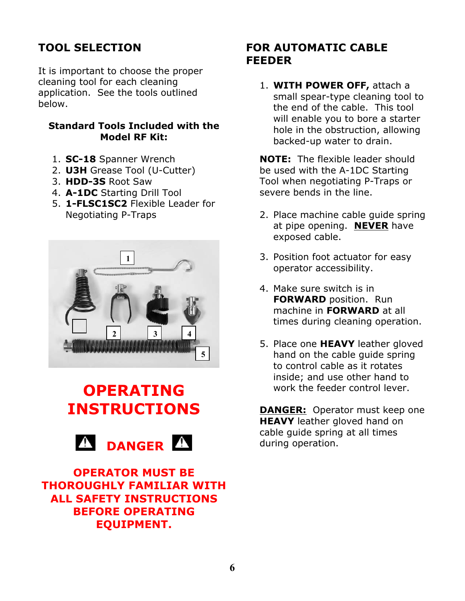### **TOOL SELECTION**

It is important to choose the proper cleaning tool for each cleaning application. See the tools outlined below.

#### **Standard Tools Included with the Model RF Kit:**

- 1. **SC-18** Spanner Wrench
- 2. **U3H** Grease Tool (U-Cutter)
- 3. **HDD-3S** Root Saw
- 4. **A-1DC** Starting Drill Tool
- 5. **1-FLSC1SC2** Flexible Leader for Negotiating P-Traps



## **OPERATING INSTRUCTIONS**



**OPERATOR MUST BE THOROUGHLY FAMILIAR WITH ALL SAFETY INSTRUCTIONS BEFORE OPERATING EQUIPMENT.**

#### **FOR AUTOMATIC CABLE FEEDER**

1. **WITH POWER OFF,** attach a small spear-type cleaning tool to the end of the cable. This tool will enable you to bore a starter hole in the obstruction, allowing backed-up water to drain.

**NOTE:** The flexible leader should be used with the A-1DC Starting Tool when negotiating P-Traps or severe bends in the line.

- 2. Place machine cable guide spring at pipe opening. **NEVER** have exposed cable.
- 3. Position foot actuator for easy operator accessibility.
- 4. Make sure switch is in **FORWARD** position. Run machine in **FORWARD** at all times during cleaning operation.
- 5. Place one **HEAVY** leather gloved hand on the cable guide spring to control cable as it rotates inside; and use other hand to work the feeder control lever.

**DANGER:** Operator must keep one **HEAVY** leather gloved hand on cable guide spring at all times during operation.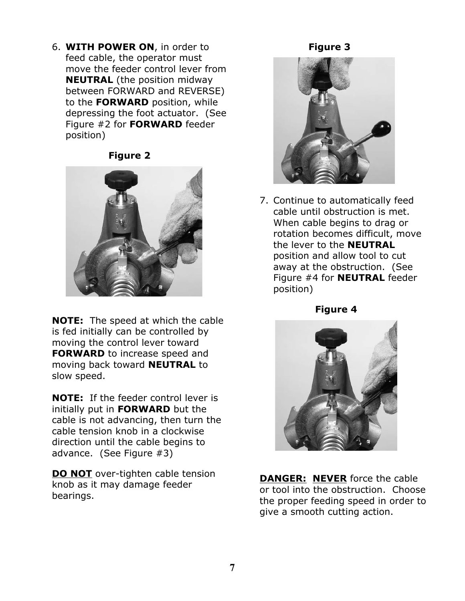6. **WITH POWER ON**, in order to feed cable, the operator must move the feeder control lever from **NEUTRAL** (the position midway between FORWARD and REVERSE) to the **FORWARD** position, while depressing the foot actuator. (See Figure #2 for **FORWARD** feeder position)

#### **Figure 2**



**NOTE:** The speed at which the cable is fed initially can be controlled by moving the control lever toward **FORWARD** to increase speed and moving back toward **NEUTRAL** to slow speed.

**NOTE:** If the feeder control lever is initially put in **FORWARD** but the cable is not advancing, then turn the cable tension knob in a clockwise direction until the cable begins to advance. (See Figure #3)

**DO NOT** over-tighten cable tension knob as it may damage feeder bearings.

#### **Figure 3**



7. Continue to automatically feed cable until obstruction is met. When cable begins to drag or rotation becomes difficult, move the lever to the **NEUTRAL** position and allow tool to cut away at the obstruction. (See Figure #4 for **NEUTRAL** feeder position)

**Figure 4**



**DANGER: NEVER** force the cable or tool into the obstruction. Choose the proper feeding speed in order to give a smooth cutting action.